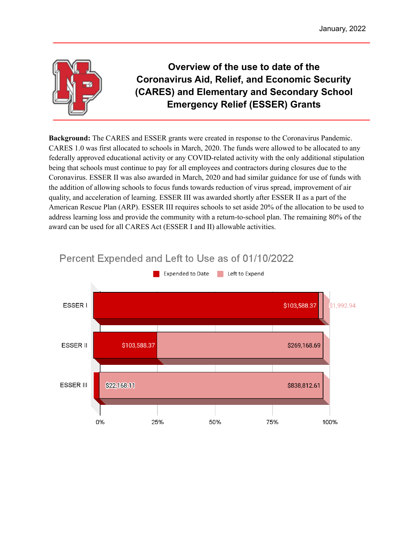

# **Overview of the use to date of the Coronavirus Aid, Relief, and Economic Security (CARES) and Elementary and Secondary School Emergency Relief (ESSER) Grants**

**Background:** The CARES and ESSER grants were created in response to the Coronavirus Pandemic. CARES 1.0 was first allocated to schools in March, 2020. The funds were allowed to be allocated to any federally approved educational activity or any COVID-related activity with the only additional stipulation being that schools must continue to pay for all employees and contractors during closures due to the Coronavirus. ESSER II was also awarded in March, 2020 and had similar guidance for use of funds with the addition of allowing schools to focus funds towards reduction of virus spread, improvement of air quality, and acceleration of learning. ESSER III was awarded shortly after ESSER II as a part of the American Rescue Plan (ARP). ESSER III requires schools to set aside 20% of the allocation to be used to address learning loss and provide the community with a return-to-school plan. The remaining 80% of the award can be used for all CARES Act (ESSER I and II) allowable activities.



## Percent Expended and Left to Use as of 01/10/2022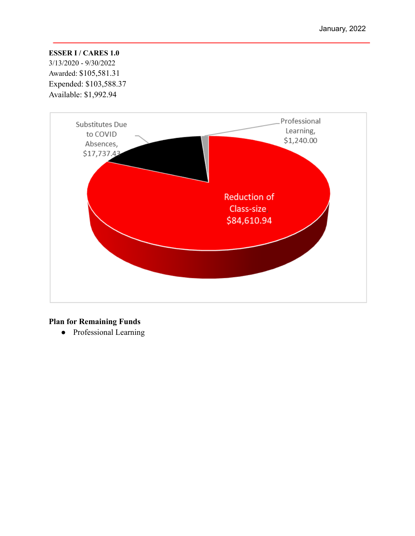## **ESSER I / CARES 1.0**

3/13/2020 - 9/30/2022 Awarded: \$105,581.31 Expended: \$103,588.37 Available: \$1,992.94



## **Plan for Remaining Funds**

● Professional Learning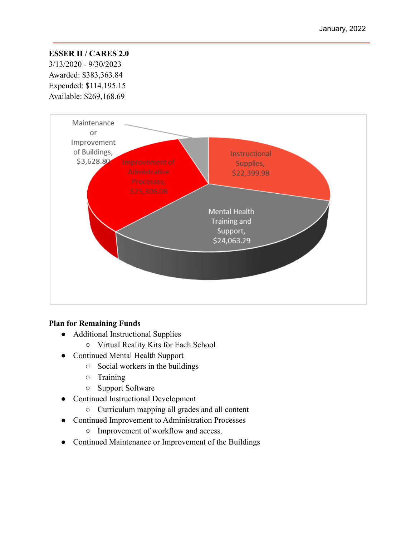#### **ESSER II / CARES 2.0**

3/13/2020 - 9/30/2023 Awarded: \$383,363.84 Expended: \$114,195.15 Available: \$269,168.69



#### **Plan for Remaining Funds**

- Additional Instructional Supplies
	- Virtual Reality Kits for Each School
- Continued Mental Health Support
	- Social workers in the buildings
	- Training
	- Support Software
- Continued Instructional Development
	- Curriculum mapping all grades and all content
- Continued Improvement to Administration Processes
	- Improvement of workflow and access.
- Continued Maintenance or Improvement of the Buildings